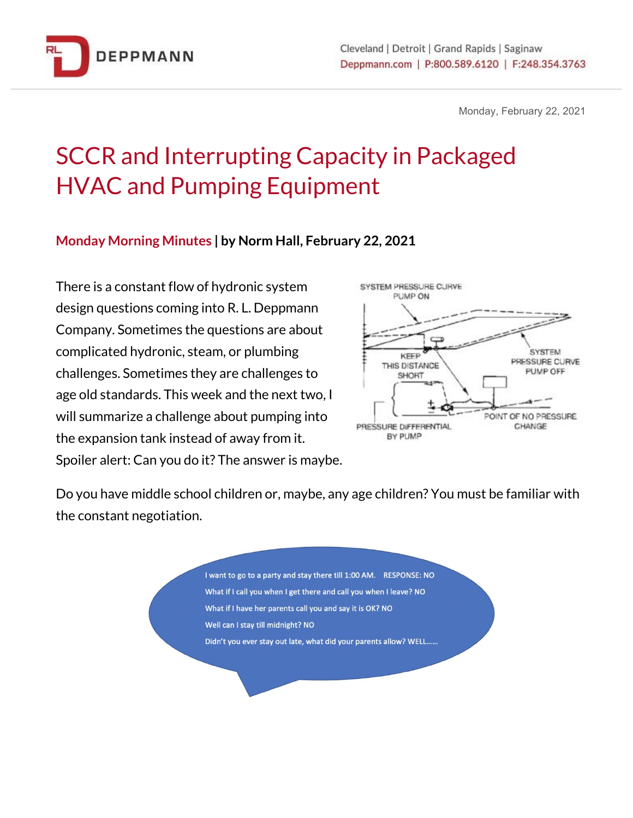

Monday, February 22, 2021

# SCCR and Interrupting Capacity in Packaged HVAC and Pumping Equipment

#### **Monday Morning Minutes | by Norm Hall, February 22, 2021**

There is a constant flow of hydronic system design questions coming into R. L. Deppmann Company. Sometimes the questions are about complicated hydronic, steam, or plumbing challenges. Sometimes they are challenges to age old standards. This week and the next two, I will summarize a challenge about pumping into the expansion tank instead of away from it. Spoiler alert: Can you do it? The answer is maybe.



Do you have middle school children or, maybe, any age children? You must be familiar with the constant negotiation.

> I want to go to a party and stay there till 1:00 AM. RESPONSE: NO What if I call you when I get there and call you when I leave? NO What if I have her parents call you and say it is OK? NO Well can I stay till midnight? NO Didn't you ever stay out late, what did your parents allow? WELL......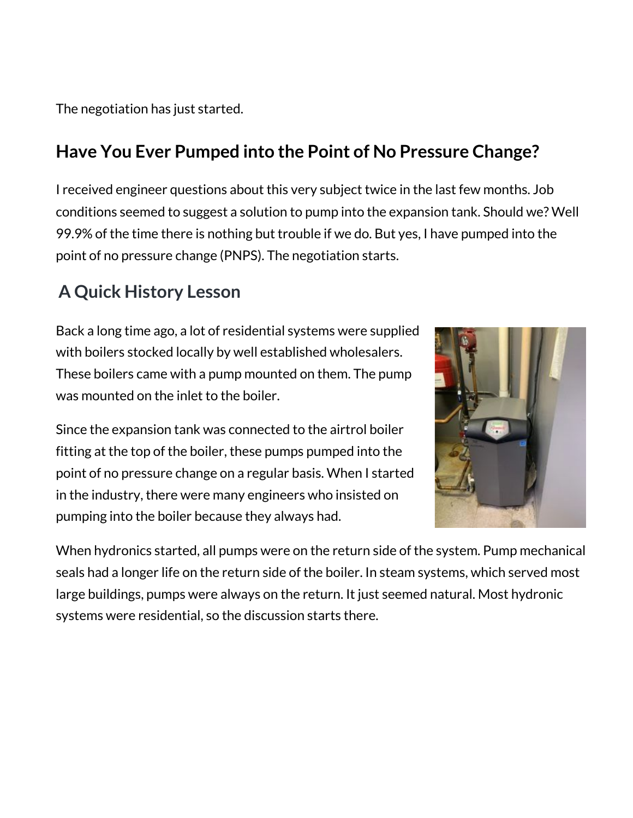The negotiation has just started.

## **Have You Ever Pumped into the Point of No Pressure Change?**

I received engineer questions about this very subject twice in the last few months. Job conditions seemed to suggest a solution to pump into the expansion tank. Should we? Well 99.9% of the time there is nothing but trouble if we do. But yes, I have pumped into the point of no pressure change (PNPS). The negotiation starts.

### **A Quick History Lesson**

Back a long time ago, a lot of residential systems were supplied with boilers stocked locally by well established wholesalers. These boilers came with a pump mounted on them. The pump was mounted on the inlet to the boiler.

Since the expansion tank was connected to the airtrol boiler fitting at the top of the boiler, these pumps pumped into the point of no pressure change on a regular basis. When I started in the industry, there were many engineers who insisted on pumping into the boiler because they always had.



When hydronics started, all pumps were on the return side of the system. Pump mechanical seals had a longer life on the return side of the boiler. In steam systems, which served most large buildings, pumps were always on the return. It just seemed natural. Most hydronic systems were residential, so the discussion starts there.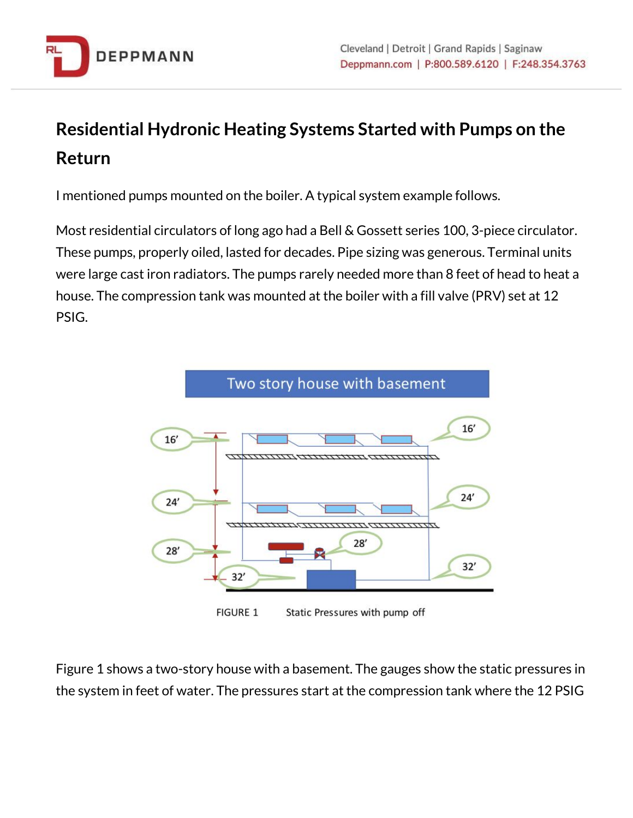

# **Residential Hydronic Heating Systems Started with Pumps on the Return**

I mentioned pumps mounted on the boiler. A typical system example follows.

Most residential circulators of long ago had a Bell & Gossett series 100, 3-piece circulator. These pumps, properly oiled, lasted for decades. Pipe sizing was generous. Terminal units were large cast iron radiators. The pumps rarely needed more than 8 feet of head to heat a house. The compression tank was mounted at the boiler with a fill valve (PRV) set at 12 PSIG.



**FIGURE 1** Static Pressures with pump off

Figure 1 shows a two-story house with a basement. The gauges show the static pressures in the system in feet of water. The pressures start at the compression tank where the 12 PSIG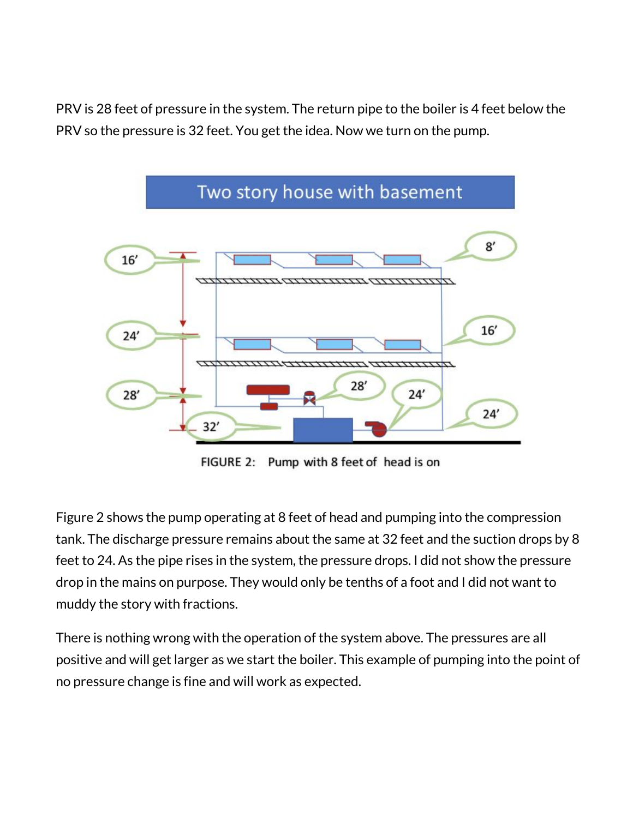PRV is 28 feet of pressure in the system. The return pipe to the boiler is 4 feet below the PRV so the pressure is 32 feet. You get the idea. Now we turn on the pump.



FIGURE 2: Pump with 8 feet of head is on

Figure 2 shows the pump operating at 8 feet of head and pumping into the compression tank. The discharge pressure remains about the same at 32 feet and the suction drops by 8 feet to 24. As the pipe rises in the system, the pressure drops. I did not show the pressure drop in the mains on purpose. They would only be tenths of a foot and I did not want to muddy the story with fractions.

There is nothing wrong with the operation of the system above. The pressures are all positive and will get larger as we start the boiler. This example of pumping into the point of no pressure change is fine and will work as expected.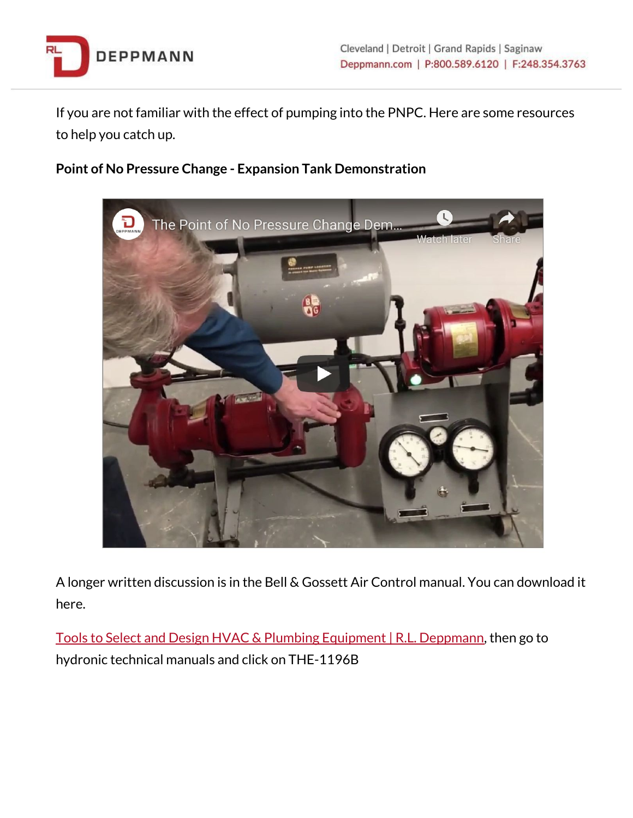

If you are not familiar with the effect of pumping into the PNPC. Here are some resources to help you catch up.

#### **Point of No Pressure Change - Expansion Tank Demonstration**



A longer written discussion is in the Bell & Gossett Air Control manual. You can download it here.

Tools to Select and Design HVAC & Plumbing Equipment | R.L. [Deppmann,](http://bit.ly/2TEuEPB) then go to hydronic technical manuals and click on THE-1196B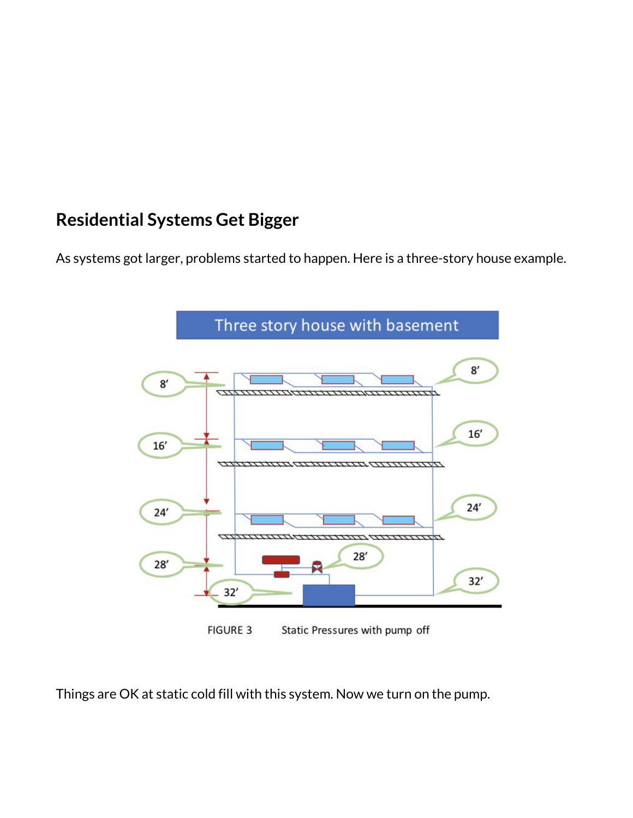#### **Residential Systems Get Bigger**

As systems got larger, problems started to happen. Here is a three-story house example.



Things are OK at static cold fill with this system. Now we turn on the pump.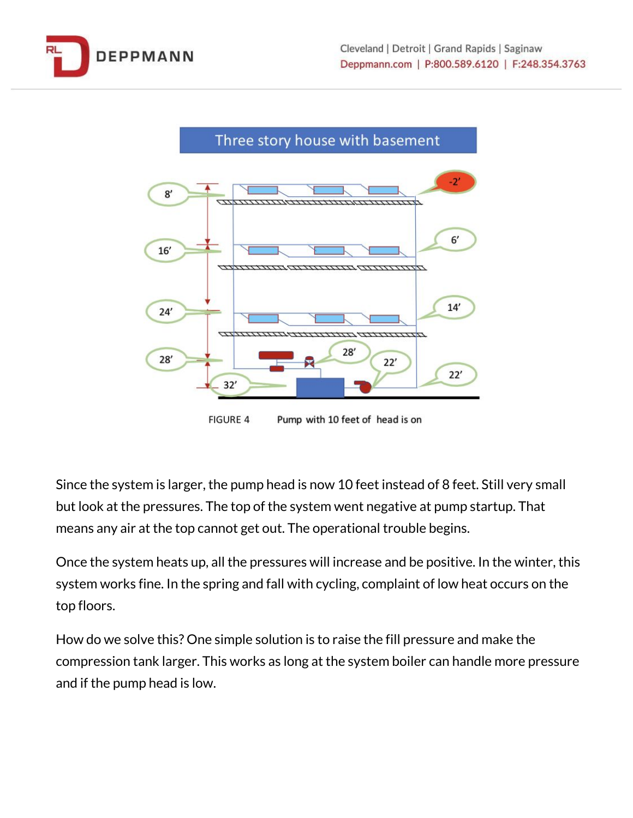



**FIGURE 4** Pump with 10 feet of head is on

Since the system is larger, the pump head is now 10 feet instead of 8 feet. Still very small but look at the pressures. The top of the system went negative at pump startup. That means any air at the top cannot get out. The operational trouble begins.

Once the system heats up, all the pressures will increase and be positive. In the winter, this system works fine. In the spring and fall with cycling, complaint of low heat occurs on the top floors.

How do we solve this? One simple solution is to raise the fill pressure and make the compression tank larger. This works as long at the system boiler can handle more pressure and if the pump head is low.